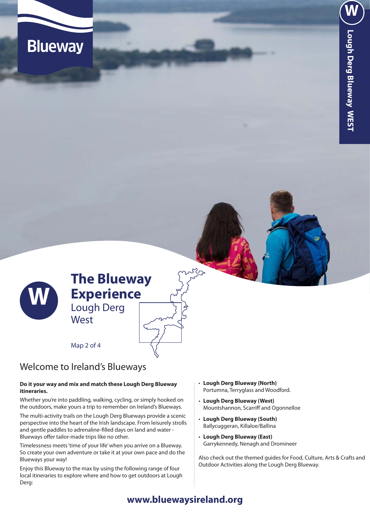



Map 2 of 4

**West** 

# Welcome to Ireland's Blueways

### **Do it your way and mix and match these Lough Derg Blueway itineraries.**

Whether you're into paddling, walking, cycling, or simply hooked on the outdoors, make yours a trip to remember on Ireland's Blueways.

The multi-activity trails on the Lough Derg Blueways provide a scenic perspective into the heart of the Irish landscape. From leisurely strolls and gentle paddles to adrenaline-filled days on land and water - Blueways offer tailor-made trips like no other.

Timelessness meets 'time of your life' when you arrive on a Blueway. So create your own adventure or take it at your own pace and do the Blueways your way!

Enjoy this Blueway to the max by using the following range of four local itineraries to explore where and how to get outdoors at Lough Derg:

- **Lough Derg Blueway (North)** Portumna, Terryglass and Woodford.
- • **Lough Derg Blueway (West)** Mountshannon, Scarriff and Ogonnelloe
- • **Lough Derg Blueway (South)** Ballycuggeran, Killaloe/Ballina
- • **Lough Derg Blueway (East)** Garrykennedy, Nenagh and Dromineer

Also check out the themed guides for Food, Culture, Arts & Crafts and Outdoor Activities along the Lough Derg Blueway.

# **www.bluewaysireland.org**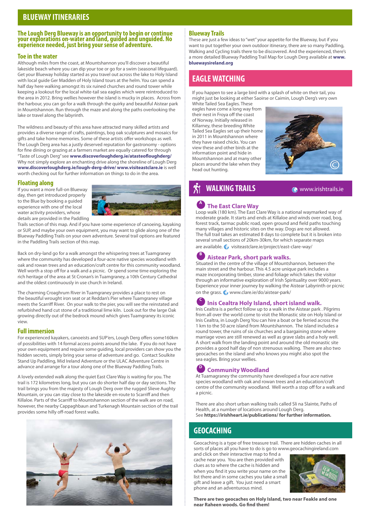# **BLUEWAY ITINERARIES**

#### **The Lough Derg Blueway is an opportunity to begin or continue your explorations on-water and land, guided and unguided. No experience needed, just bring your sense of adventure.**

### **Toe in the water**

Although miles from the coast, at Mountshannon you'll discover a beautiful lakeside beach where you can dip your toe or go for a swim (seasonal lifeguard). Get your Blueway holiday started as you travel out across the lake to Holy Island with local guide Ger Madden of Holy Island tours at the helm. You can spend a half day here walking amongst its six ruined churches and round tower while keeping a lookout for the local white-tail sea eagles which were reintroduced to the area in 2012. Bring wellies however the island is mucky in places. Across from the harbour, you can go for a walk through the quirky and beautiful Aistear park in Mountshannon. Run through the maze and along the paths overlooking the lake or travel along the labyrinth.

The wildness and beauty of this area have attracted many skilled artists and provides a diverse range of crafts, paintings, bog oak sculptures and mosaics for gifts and take home memories. Some of these artists offer workshops as well. The Lough Derg area has a justly deserved reputation for gastronomy - options for fine dining or grazing at a farmers market are equally catered for through "Taste of Lough Derg" see **www.discoverloughderg.ie/atasteofloughderg/**  Why not simply explore an enchanting drive along the shoreline of Lough Derg **www.discoverloughderg.ie/lough-derg-drive/ www.visiteastclare.ie** is well worth checking out for further information on things to do in the area.

### **Floating along**

If you want a more full-on Blueway day, then get introduced properly to the Blue by booking a guided experience with one of the local water activity providers, whose details are provided in the Paddling



Trails section of this map. And if you have some experience of canoeing, kayaking or SUP, and maybe your own equipment, you may want to glide along one of the Blueway Paddling Trails on your own adventure. Several trail options are featured in the Paddling Trails section of this map.

Back on dry-land go for a walk amongst the whispering trees at Tuamgraney where the community has developed a four-acre native species woodland with oak and rowan trees and an education/craft centre for this community woodland. Well worth a stop off for a walk and a picnic. Or spend some time exploring the rich heritage of the area at St Cronan's in Tuamgraney, a 10th Century Cathedral and the oldest continuously in use church in Ireland.

The charming Croaghrum River in Tuamgraney provides a place to rest on the beautiful wrought iron seat or at Reddan's Pier where Tuamgraney village meets the Scarriff River. On your walk to the pier, you will see the reinstated and refurbished hand cut stone of a traditional lime kiln. Look out for the large Oak growing directly out of the bedrock mound which gives Tuamgraney its iconic view.

### **Full immersion**

For experienced kayakers, canoeists and SUP'ers, Lough Derg offers some160km of possibilities with 14 formal access points around the lake. If you do not have your own equipment and require some guiding, local providers can show you the hidden secrets, simply bring your sense of adventure and go. Contact Soulkite Stand Up Paddling, Mid Ireland Adventure or the ULAC Adventure Centre in advance and arrange for a tour along one of the Blueway Paddling Trails.

A lovely extended walk along the quiet East Clare Way is waiting for you. The trail is 172 kilometres long, but you can do shorter half day or day sections. The trail brings you from the majesty of Lough Derg over the rugged Slieve Aughty Mountain, or you can stay close to the lakeside en-route to Scarriff and then Killaloe. Parts of the Scarriff to Mountshannon section of the walk are on road, however, the nearby Cappaghbaun and Turkenagh Mountain section of the trail provides some hilly off-road forest walks.



### **Blueway Trails**

These are just a few ideas to "wet" your appetite for the Blueway, but if you want to put together your own outdoor itinerary, there are so many Paddling, Walking and Cycling trails there to be discovered. And the experienced, there's a more detailed Blueway Paddling Trail Map for Lough Derg available at **www. bluewaysireland.org**

# **EAGLE WATCHING**

If you happen to see a large bird with a splash of white on their tail, you might just be looking at either Saoirse or Caimin, Lough Derg's very own

White Tailed Sea Eagles. These eagles have come a long way from their nest in Froya off the coast of Norway. Initially released in Killarney, these breeding White Tailed Sea Eagles set up their home in 2011 in Mountshannon where they have raised chicks. You can view these and other birds at the information point and hide in Mountshannon and at many other places around the lake when they head out hunting.



# **WALKING TRAILS WALKING TRAILS**

## **<sup>A</sup> The East Clare Way**

Loop walk (180 km). The East Clare Way is a national waymarked way of moderate grade. It starts and ends at Killaloe and winds over road, bog, forest track, tarmac public road, open ground and field paths touching many villages and historic sites on the way. Dogs are not allowed. The full trail takes an estimated 8 days to complete but it is broken into several small sections of 20km-30km, for which separate maps are available.  $\bullet$  visiteastclare.ie/project/east-clare-way/

# **<sup>B</sup> Aistear Park, short park walks.**

Situated in the centre of the village of Mountshannon, between the main street and the harbour. This 4.5 acre unique park includes a maze incorporating timber, stone and foliage which takes the visitor through an informative exploration of Irish Spirituality over 9000 years. Experience your inner journey by walking the Aistear Labyrinth or picnic on the grass. www.clare.ie/do/aistear-park/

## **Caltra Holy Island, short island walk.**

Inis Cealtra is a perfect follow up to a walk in the Aistear park . Pilgrims from all over the world come to visit the Monastic site on Holy Island or Inis Cealtra, in Lough Derg You can hire a boat or be ferried across the 1 km to the 50 acre island from Mountshannon. The island includes a round tower, the ruins of six churches and a bargaining stone where marriage vows are still renewed as well as grave slabs and a holy well. A short walk from the landing point and around the old monastic site provides a good half day of non strenuous walking. There are also two geocaches on the island and who knows you might also spot the sea eagles. Bring your wellies.

## **Community Woodland**

At Tuamagraney the community have developed a four acre native species woodland with oak and rowan trees and an education/craft centre of the community woodland. Well worth a stop off for a walk and a picnic.

There are also short urban walking trails called Sli na Slainte, Paths of Health, at a number of locations around Lough Derg. See **https://irishheart.ie/publications/ for further information.**

# **GEOCACHING**

Geocaching is a type of free treasure trail. There are hidden caches in all sorts of places all you have to do is go to www.geocachingireland.com

and click on their interactive map to find a cache near you. You are then provided with clues as to where the cache is hidden and when you find it you write your name on the list there and in some caches you take a small gift and leave a gift. You just need a smart phone and an adventurous mind.



**There are two geocaches on Holy Island, two near Feakle and one near Raheen woods. Go find them!**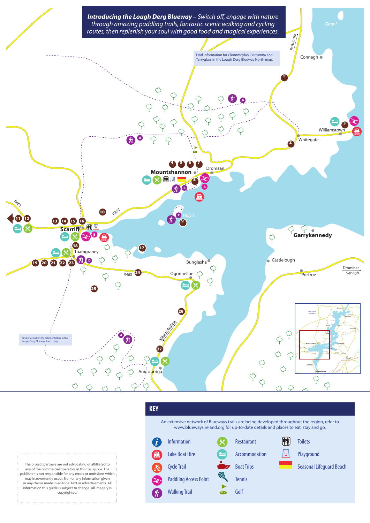

The project partners are not advocating or affilliated to any of the commercial operators in this trail guide. The publisher is not responsible for any errors or omissions which may inadvertently occur. Nor for any information given or any claims made in editorial text or advertisements. All information this guide is subject to change. All imagery is copyrighted.

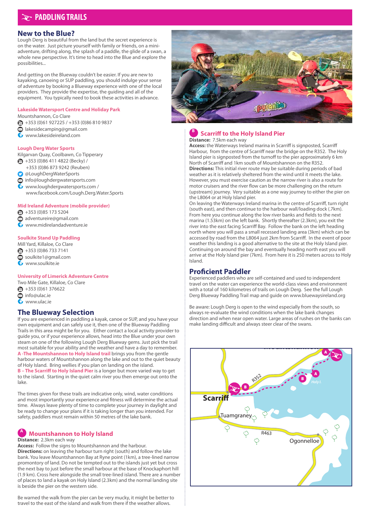# **PADDLING TRAILS**

### **New to the Blue?**

Lough Derg is beautiful from the land but the secret experience is on the water. Just picture yourself with family or friends, on a miniadventure, drifting along, the splash of a paddle, the glide of a swan, a whole new perspective. It's time to head into the Blue and explore the possibilities...

And getting on the Blueway couldn't be easier. If you are new to kayaking, canoeing or SUP paddling, you should indulge your sense of adventure by booking a Blueway experience with one of the local providers. They provide the expertise, the guiding and all of the equipment. You typically need to book these activities in advance.

#### **Lakeside Watersport Centre and Holiday Park** Mountshannon, Co Clare

+353 (0)61 927225 / +353 (0)86 810 9837 ◉

- lakesidecamping@gmail.com  $\circledcirc$
- www.lakesideireland.com

### **Lough Derg Water Sports**

Kilgarvan Quay, Coolbawn, Co Tipperary

- $\bigoplus$  +353 (0)86 411 4822 (Becky)
- +353 (0)86 873 9242 (Reuben)
- @LoughDergWaterSports<br>◎ info@loughdergwaterspo
- info@loughdergwatersports.com
- www.loughdergwatersports.com / www.facebook.com/Lough.Derg.Water.Sports

### **Mid Ireland Adventure (mobile provider)**

- $\bigcirc$  +353 (0)85 173 5204
- adventureire@gmail.com
- www.midirelandadventure.ie

### **Soulkite Stand Up Paddling**

Mill Yard, Killaloe, Co Clare

- ُ +353 (0)86 733 7141
- soulkite1@gmail.com
- www.soulkite.ie

### **University of Limerick Adventure Centre**

Two Mile Gate, Killaloe, Co Clare

- $\bullet$  +353 (0)61 376622
- info@ulac.ie<br>
www.ulac.ie
- www.ulac.ie

## **The Blueway Selection**

If you are experienced in paddling a kayak, canoe or SUP, and you have your own equipment and can safely use it, then one of the Blueway Paddling Trails in this area might be for you. Either contact a local activity provider to guide you, or if your experience allows, head into the Blue under your own steam on one of the following Lough Derg Blueway gems. Just pick the trail most suitable for your ability and the weather and have a day to remember. **A -The Mountshannon to Holy Island trail** brings you from the gentle harbour waters of Mountshannon along the lake and out to the quiet beauty of Holy Island. Bring wellies if you plan on landing on the island. **B – The Scarriff to Holy Island Pier** is a longer but more varied way to get to the island. Starting in the quiet calm river you then emerge out onto the lake.

The times given for these trails are indicative only, wind, water conditions and most importantly your experience and fitness will determine the actual time. Always leave plenty of time to complete your journey in daylight and be ready to change your plans if it is taking longer than you intended. For safety, paddlers must remain within 50 metres of the lake bank.

# **<sup>A</sup> Mountshannon to Holy Island**

### **Distance:** 2.3km each way

**Access:** Follow the signs to Mountshannon and the harbour. **Directions:** on leaving the harbour turn right (south) and follow the lake bank. You leave Mountshannon Bay at Ryne point (1km), a tree-lined narrow promontory of land. Do not be tempted out to the islands just yet but cross the next bay to just before the small harbour at the base of Knockaphort hill (1.9 km). Cross here alongside the small tree-lined island. There are a number of places to land a kayak on Holy Island (2.3km) and the normal landing site is beside the pier on the western side.

Be warned the walk from the pier can be very mucky, it might be better to travel to the east of the island and walk from there if the weather allows.



### **<sup>B</sup> Scarriff to the Holy Island Pier Distance:** 7.5km each way

**Access:** the Waterways Ireland marina in Scarriff is signposted, Scarriff Harbour, from the centre of Scarriff near the bridge on the R352. The Holy Island pier is signposted from the turnoff to the pier approximately 6 km North of Scarriff and 1km south of Mountshannon on the R352. **Directions:** This initial river route may be suitable during periods of bad weather as it is relatively sheltered from the wind until it meets the lake. However, you must exercise caution as the narrow river is also a route for motor cruisers and the river flow can be more challenging on the return

(upstream) journey. Very suitable as a one way journey to either the pier on the L8064 or at Holy Island pier. On leaving the Waterways Ireland marina in the centre of Scarriff, turn right

(south east), and then continue to the harbour wall/loading dock (.7km). From here you continue along the low river banks and fields to the next marina (1.53km) on the left bank. Shortly thereafter (2.3km), you exit the river into the east facing Scarriff Bay. Follow the bank on the left heading north where you will pass a small recessed landing area (3km) which can be accessed by road from the L8064 just 2km from Scarriff. In the event of poor weather this landing is a good alternative to the site at the Holy Island pier. Continuing on around the bay and eventually heading north east you will arrive at the Holy Island pier (7km). From here it is 250 meters across to Holy Island.

## **Proficient Paddler**

Experienced paddlers who are self-contained and used to independent travel on the water can experience the world-class views and environment with a total of 160 kilometres of trails on Lough Derg. See the full Lough Derg Blueway Paddling Trail map and guide on www.bluewaysireland.org

Be aware: Lough Derg is open to the wind especially from the south, so always re-evaluate the wind conditions when the lake bank changes direction and when near open water. Large areas of rushes on the banks can make landing difficult and always steer clear of the swans.

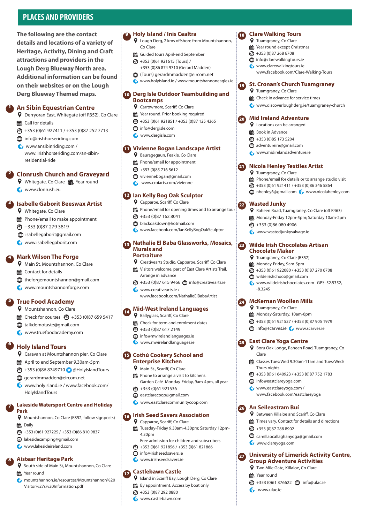# **PLACES AND PROVIDERS**

**The following are the contact details and locations of a variety of Heritage, Activity, Dining and Craft attractions and providers in the Lough Derg Blueway North area. Additional information can be found on their websites or on the Lough Derg Blueway Themed maps.** 

#### **An Sibín Equestrian Centre** 1

Derryoran East, Whitegate (off R352), Co Clare  **less** Call for details

- $\bigoplus$  +353 (0)61 927411 / +353 (0)87 252 7713
- **info@irishhorseriding.com**
- www.ansibinriding.com /
- www. irishhorseriding.com/an-sibinresidential-ride

## **2** Clonrush Church and Graveyard

- Whitegate, Co Clare **Property** Year round
- **G** www.clonrush.eu

#### **Isabelle Gaborit Beeswax Artist** 3

- **Q** Whitegate, Co Clare
- Phone/email to make appointment
- +353 (0)87 279 3819
- isabellegaborit@gmail.com
- www.isabellegaborit.com

#### **Mark Wilson The Forge** 4

- Main St, Mountshannon, Co Clare
- **B** Contact for details
- $\otimes$  theforgemountshannon@gmail.com
- www.mountshannonforge.com

#### **True Food Academy** 5

- **Q** Mountshannon, Co Clare
- $\ddot{R}$  Check for courses  $\ddot{R}$  +353 (0)87 659 5417
- talkdemotaste@gmail.com
- www.truefoodacademy.com

#### **Holy Island Tours** 6

- Caravan at Mountshannon pier, Co Clare
- April to end September 9.30am-5pm
- $\bigoplus$  +353 (0)86 8749710  $\bigodot$  @HolyIslandTours
- **e** gerardmmadden@eircom.net
- www.holyisland.ie / www.facebook.com/ HolyIslandTours

### **Lakeside Watersport Centre and Holiday Park**

- Mountshannon, Co Clare (R352, follow signposts) 體 Daily
- $\bigoplus$  +353 (0)61 927225 / +353 (0)86 810 9837
- lakesidecamping@gmail.com
- www.lakesideireland.com

## **Aistear Heritage Park**

- **Q** South side of Main St, Mountshannon, Co Clare
- Year round

7

8

 mountshannon.ie/resources/Mountshannon%20 Visitor%27s%20Information.pdf

### **P** Holy Island / Inis Cealtra

- Lough Derg, 2 kms offshore from Mountshannon, Co Clare
- Guided tours April-end September
- $\bigoplus$  +353 (0)61 921615 (Tours) /
- +353 (0)86 874 9710 (Gerard Madden)
- (Tours) gerardmmadden@eircom.net www.holyisland.ie / www.mountshannoneagles.ie

### **Derg Isle Outdoor Teambuilding and**  10 **Bootcamps**

- **Q** Carrowmore, Scariff, Co Clare Year round. Prior booking required
- +353 (0)61 921851 / +353 (0)87 125 4365
- info@dergisle.com
- www.dergisle.com

### **Vivienne Bogan Landscape Artist** 11

- **Q** Bauragegaun, Feakle, Co Clare
- **| Phone/email for appointment**
- $\bigotimes$  +353 (0)85 716 5612
- viviennebogan@gmail.com
- **C**, www.croiarts.com/vivienne

### **Ian Kelly Bog Oak Sculptor** 12

- **Q** Capparoe, Scariff, Co Clare
- Phone/email for opening times and to arrange tour
- $\bigcirc$  +353 (0)87 162 8041
- blackoakdown@hotmail.com
- www.facebook.com/IanKellyBogOakSculptor

### **B** Nathalie El Baba Glassworks, Mosaics, **Murals and Portraiture**

- Creativearts Studio, Capparoe, Scariff, Co Clare
- **Washington Williams** Visitors welcome, part of East Clare Artists Trail. Arrange in advance
- $\bigcirc$  +353 (0)87 615 9466  $\bigcirc$  info@creativearts.ie www.creativearts.ie /
	- www.facebook.com/NathalieElBabaArtist

#### **Mid-West Ireland Languages** 14

- Ballyglass, Scariff, Co Clare
- **Check for term and enrolment dates**
- $\bullet$  +353 (0)87 617 2149
- $\odot$  info@mwirelandlanguages.ie
- www.mwirelandlanguages.ie

### **Cothú Cookery School and**  15 **Enterprise Kitchen**

- Main St., Scariff, Co Clare
- Phone to arrange a visit to kitchens. Garden Café Monday-Friday, 9am-4pm, all year
- 1353 (0)61 921536
- **e** eastclarecoop@gmail.com
- **G** www.eastclarecommunitycoop.com

## **Irish Seed Savers Association** 16

- Capparoe, Scariff, Co Clare Tuesday-Friday 9.30am-4.30pm; Saturday 12pm-4.30pm
- Free admission for children and subscribers
- $\bigotimes$  +353 (0)61 921856 / +353 (0)61 821866
- $\otimes$  info@irishseedsavers.ie
- **G** www.irishseedsavers.ie

## **Castlebawn Castle**

- Island in Scariff Bay, Lough Derg, Co Clare
- By appointment. Access by boat only
- $\bullet$  +353 (0)87 292 0880
- **G** www.castlebawn.com

### **Clare Walking Tours**

- Tuamgraney, Co Clare
- Year round except Christmas  $\bullet$  +353 (0)87 268 6708
- 

19

20

22

23

25

26

27

- $\odot$  info@clarewalkingtours.ie **G** www.clarewalkingtours.ie
- www.facebook.com/Clare-Walking-Tours

### **St. Cronan's Church Tuamgraney Q** Tuamgraney, Co Clare

www.discoverloughderg.ie/tuamgraney-church

Phone/email for details or to arrange studio visit +353 (0)61 921411 / +353 (0)86 346 5864 **&** nhenley6@gmail.com www.nicolahenley.com

Raheen Road, Tuamgraney, Co Clare (off R463) Monday-Friday 12pm-5pm; Saturday 10am-2pm

**Wilde Irish Chocolates Artisan** 

 $\bigcirc$  +353 (0)61 922080 / +353 (0)87 270 6708

www.wildeirishchocolates.com GPS: 52.5352,

Boru Oak Lodge, Raheen Road, Tuamgraney, Co

Classes Tues/Wed 9.30am-11am and Tues/Wed/

 $\bigoplus$  +353 (0)61 640923 / +353 (0)87 752 1783

www.facebook.com/eastclareyoga

Between Killaloe and Scariff, Co Clare **講** Times vary. Contact for details and directions

camillaocallaghanyoga@gmail.com

**Group Adventure Activities** Two Mile Gate, Killaloe, Co Clare

 $\bigcirc$  +353 (0)61 376622  $\bigcirc$  info@ulac.ie

**University of Limerick Activity Centre,** 

ER Check in advance for service times

**Mid Ireland Adventure** Locations can be arranged He Book in Advance +353 (0)85 173 5204 adventureire@gmail.com www.midirelandadventure.ie

21 Nicola Henley Textiles Artist **Q** Tuamgraney, Co Clare

**Wasted Junky**

 $\bigcirc$  +353 (0)86 080 4906 **G** www.wastedjunkysalvage.ie

**Chocolate Maker** Tuamgraney, Co Clare (R352) Monday-Friday, 9am-5pm

 $-8.3245$ 

Clare

Thurs nights.

 $\odot$  info@eastclareyoga.com www.eastclareyoga.com /

**An Seileastram Buí** 

 $\bullet$  +353 (0)87 288 8902

www.clareyoga.com

Year round

**C**<sub>p</sub> www.ulac.ie

wildeirishchocs@gmail.com

**McKernan Woollen Mills** 24 **Q** Tuamgraney, Co Clare Monday-Saturday, 10am-6pm  $\bigoplus$  +353 (0)61 921527 / +353 (0)87 905 1979  $\odot$  info@scarves.ie  $\bullet$  www.scarves.ie

**East Clare Yoga Centre**